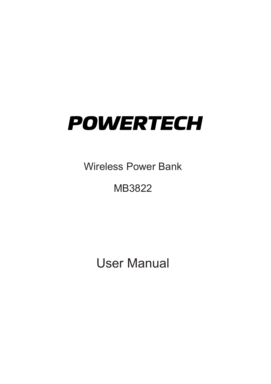# **POWERTECH**

Wireless Power Bank

## MB3822

User Manual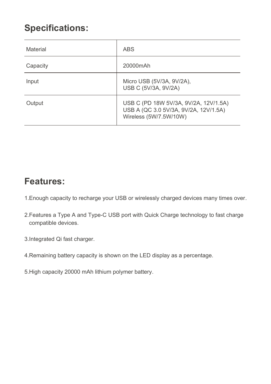#### **Specifications:**

| Material | ABS                                                                                                      |
|----------|----------------------------------------------------------------------------------------------------------|
| Capacity | 20000mAh                                                                                                 |
| Input    | Micro USB (5V/3A, 9V/2A),<br>USB C (5V/3A, 9V/2A)                                                        |
| Output   | USB C (PD 18W 5V/3A, 9V/2A, 12V/1.5A)<br>USB A (QC 3.0 5V/3A, 9V/2A, 12V/1.5A)<br>Wireless (5W/7.5W/10W) |

#### **Features:**

- 1.Enough capacity to recharge your USB or wirelessly charged devices many times over.
- 2.Features a Type A and Type-C USB port with Quick Charge technology to fast charge compatible devices.
- 3.Integrated Qi fast charger.
- 4.Remaining battery capacity is shown on the LED display as a percentage.
- 5.High capacity 20000 mAh lithium polymer battery.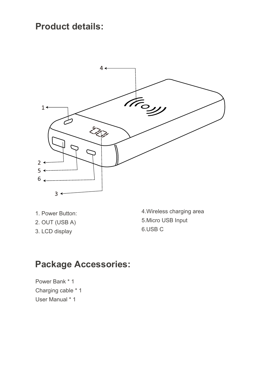#### **Product details:**



- 1. Power Button:
- 2. OUT (USB A)
- 3. LCD display

4.Wireless charging area 5.Micro USB Input 6.USB C

#### **Package Accessories:**

Power Bank \* 1 Charging cable \* 1 User Manual \* 1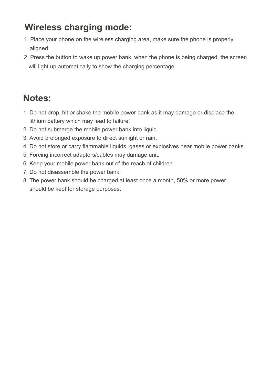#### **Wireless charging mode:**

- 1. Place your phone on the wireless charging area, make sure the phone is properly aligned.
- 2. Press the button to wake up power bank, when the phone is being charged, the screen will light up automatically to show the charging percentage.

### **Notes:**

- 1. Do not drop, hit or shake the mobile power bank as it may damage or displace the lithium battery which may lead to failure!
- 2. Do not submerge the mobile power bank into liquid.
- 3. Avoid prolonged exposure to direct sunlight or rain.
- 4. Do not store or carry flammable liquids, gases or explosives near mobile power banks.
- 5. Forcing incorrect adaptors/cables may damage unit.
- 6. Keep your mobile power bank out of the reach of children.
- 7. Do not disassemble the power bank.
- 8. The power bank should be charged at least once a month, 50% or more power should be kept for storage purposes.